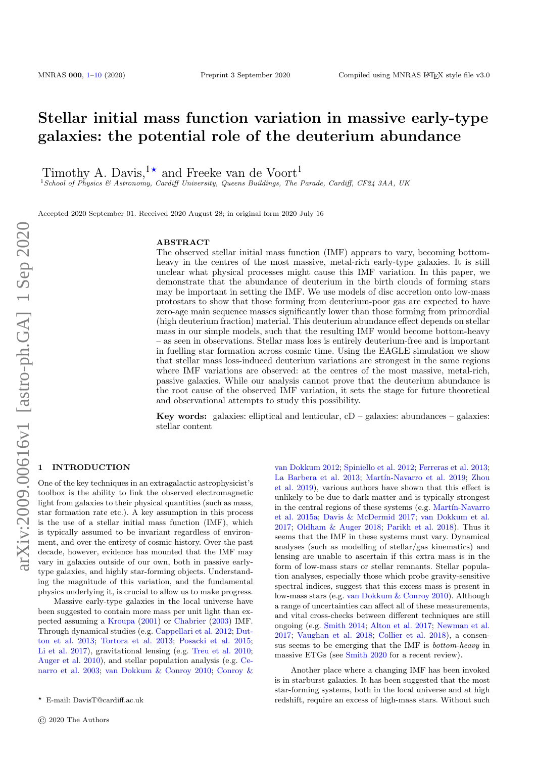# Stellar initial mass function variation in massive early-type galaxies: the potential role of the deuterium abundance

Timothy A. Davis,<sup>1\*</sup> and Freeke van de Voort<sup>1</sup>

<sup>1</sup>School of Physics & Astronomy, Cardiff University, Queens Buildings, The Parade, Cardiff, CF24 3AA, UK

Accepted 2020 September 01. Received 2020 August 28; in original form 2020 July 16

## ABSTRACT

The observed stellar initial mass function (IMF) appears to vary, becoming bottomheavy in the centres of the most massive, metal-rich early-type galaxies. It is still unclear what physical processes might cause this IMF variation. In this paper, we demonstrate that the abundance of deuterium in the birth clouds of forming stars may be important in setting the IMF. We use models of disc accretion onto low-mass protostars to show that those forming from deuterium-poor gas are expected to have zero-age main sequence masses significantly lower than those forming from primordial (high deuterium fraction) material. This deuterium abundance effect depends on stellar mass in our simple models, such that the resulting IMF would become bottom-heavy – as seen in observations. Stellar mass loss is entirely deuterium-free and is important in fuelling star formation across cosmic time. Using the EAGLE simulation we show that stellar mass loss-induced deuterium variations are strongest in the same regions where IMF variations are observed: at the centres of the most massive, metal-rich, passive galaxies. While our analysis cannot prove that the deuterium abundance is the root cause of the observed IMF variation, it sets the stage for future theoretical and observational attempts to study this possibility.

**Key words:** galaxies: elliptical and lenticular,  $cD -$  galaxies: abundances – galaxies: stellar content

# <span id="page-0-0"></span>**INTRODUCTION**

One of the key techniques in an extragalactic astrophysicist's toolbox is the ability to link the observed electromagnetic light from galaxies to their physical quantities (such as mass, star formation rate etc.). A key assumption in this process is the use of a stellar initial mass function (IMF), which is typically assumed to be invariant regardless of environment, and over the entirety of cosmic history. Over the past decade, however, evidence has mounted that the IMF may vary in galaxies outside of our own, both in passive earlytype galaxies, and highly star-forming objects. Understanding the magnitude of this variation, and the fundamental physics underlying it, is crucial to allow us to make progress.

Massive early-type galaxies in the local universe have been suggested to contain more mass per unit light than expected assuming a [Kroupa](#page-8-0) [\(2001\)](#page-8-0) or [Chabrier](#page-8-1) [\(2003\)](#page-8-1) IMF. Through dynamical studies (e.g. [Cappellari et al.](#page-8-2) [2012;](#page-8-2) [Dut](#page-8-3)[ton et al.](#page-8-3) [2013;](#page-8-3) [Tortora et al.](#page-9-0) [2013;](#page-9-0) [Posacki et al.](#page-9-1) [2015;](#page-9-1) [Li et al.](#page-9-2) [2017\)](#page-9-2), gravitational lensing (e.g. [Treu et al.](#page-9-3) [2010;](#page-9-3) [Auger et al.](#page-8-4) [2010\)](#page-8-4), and stellar population analysis (e.g. [Ce](#page-8-5)[narro et al.](#page-8-5) [2003;](#page-8-5) [van Dokkum & Conroy](#page-9-4) [2010;](#page-9-4) [Conroy &](#page-8-6)

[van Dokkum](#page-8-6) [2012;](#page-8-6) [Spiniello et al.](#page-9-5) [2012;](#page-9-5) [Ferreras et al.](#page-8-7) [2013;](#page-8-7) [La Barbera et al.](#page-8-8) [2013;](#page-8-8) Martín-Navarro et al. [2019;](#page-9-6) [Zhou](#page-9-7) [et al.](#page-9-7) [2019\)](#page-9-7), various authors have shown that this effect is unlikely to be due to dark matter and is typically strongest in the central regions of these systems (e.g. Martín-Navarro [et al.](#page-9-8) [2015a;](#page-9-8) [Davis & McDermid](#page-8-9) [2017;](#page-8-9) [van Dokkum et al.](#page-9-9) [2017;](#page-9-9) [Oldham & Auger](#page-9-10) [2018;](#page-9-10) [Parikh et al.](#page-9-11) [2018\)](#page-9-11). Thus it seems that the IMF in these systems must vary. Dynamical analyses (such as modelling of stellar/gas kinematics) and lensing are unable to ascertain if this extra mass is in the form of low-mass stars or stellar remnants. Stellar population analyses, especially those which probe gravity-sensitive spectral indices, suggest that this excess mass is present in low-mass stars (e.g. [van Dokkum & Conroy](#page-9-4) [2010\)](#page-9-4). Although a range of uncertainties can affect all of these measurements, and vital cross-checks between different techniques are still ongoing (e.g. [Smith](#page-9-12) [2014;](#page-9-12) [Alton et al.](#page-8-10) [2017;](#page-8-10) [Newman et al.](#page-9-13) [2017;](#page-9-13) [Vaughan et al.](#page-9-14) [2018;](#page-9-14) [Collier et al.](#page-8-11) [2018\)](#page-8-11), a consensus seems to be emerging that the IMF is bottom-heavy in massive ETGs (see [Smith](#page-9-15) [2020](#page-9-15) for a recent review).

Another place where a changing IMF has been invoked is in starburst galaxies. It has been suggested that the most star-forming systems, both in the local universe and at high redshift, require an excess of high-mass stars. Without such

<sup>?</sup> [E-mail: DavisT@cardiff.ac.uk](#page-8-6)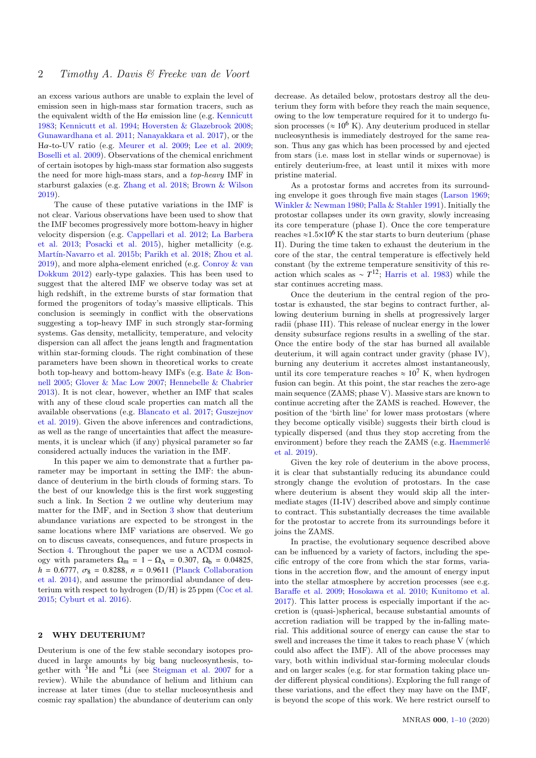an excess various authors are unable to explain the level of emission seen in high-mass star formation tracers, such as the equivalent width of the  $H\alpha$  emission line (e.g. [Kennicutt](#page-8-12) [1983;](#page-8-12) [Kennicutt et al.](#page-8-13) [1994;](#page-8-13) [Hoversten & Glazebrook](#page-8-14) [2008;](#page-8-14) [Gunawardhana et al.](#page-8-15) [2011;](#page-8-15) [Nanayakkara et al.](#page-9-16) [2017\)](#page-9-16), or the <sup>H</sup>α-to-UV ratio (e.g. [Meurer et al.](#page-9-17) [2009;](#page-9-17) [Lee et al.](#page-9-18) [2009;](#page-9-18) [Boselli et al.](#page-8-16) [2009\)](#page-8-16). Observations of the chemical enrichment of certain isotopes by high-mass star formation also suggests the need for more high-mass stars, and a top-heavy IMF in starburst galaxies (e.g. [Zhang et al.](#page-9-19) [2018;](#page-9-19) [Brown & Wilson](#page-8-17) [2019\)](#page-8-17).

The cause of these putative variations in the IMF is not clear. Various observations have been used to show that the IMF becomes progressively more bottom-heavy in higher velocity dispersion (e.g. [Cappellari et al.](#page-8-2) [2012;](#page-8-2) [La Barbera](#page-8-8) [et al.](#page-8-8) [2013;](#page-8-8) [Posacki et al.](#page-9-1) [2015\)](#page-9-1), higher metallicity (e.g. Martín-Navarro et al. [2015b;](#page-9-20) [Parikh et al.](#page-9-11) [2018;](#page-9-11) [Zhou et al.](#page-9-7) [2019\)](#page-9-7), and more alpha-element enriched (e.g. [Conroy & van](#page-8-6) [Dokkum](#page-8-6) [2012\)](#page-8-6) early-type galaxies. This has been used to suggest that the altered IMF we observe today was set at high redshift, in the extreme bursts of star formation that formed the progenitors of today's massive ellipticals. This conclusion is seemingly in conflict with the observations suggesting a top-heavy IMF in such strongly star-forming systems. Gas density, metallicity, temperature, and velocity dispersion can all affect the jeans length and fragmentation within star-forming clouds. The right combination of these parameters have been shown in theoretical works to create both top-heavy and bottom-heavy IMFs (e.g. [Bate & Bon](#page-8-18)[nell](#page-8-18) [2005;](#page-8-18) [Glover & Mac Low](#page-8-19) [2007;](#page-8-19) [Hennebelle & Chabrier](#page-8-20) [2013\)](#page-8-20). It is not clear, however, whether an IMF that scales with any of these cloud scale properties can match all the available observations (e.g. [Blancato et al.](#page-8-21) [2017;](#page-8-21) [Guszejnov](#page-8-22) [et al.](#page-8-22) [2019\)](#page-8-22). Given the above inferences and contradictions, as well as the range of uncertainties that affect the measurements, it is unclear which (if any) physical parameter so far considered actually induces the variation in the IMF.

In this paper we aim to demonstrate that a further parameter may be important in setting the IMF: the abundance of deuterium in the birth clouds of forming stars. To the best of our knowledge this is the first work suggesting such a link. In Section [2](#page-1-0) we outline why deuterium may matter for the IMF, and in Section [3](#page-3-0) show that deuterium abundance variations are expected to be strongest in the same locations where IMF variations are observed. We go on to discuss caveats, consequences, and future prospects in Section [4.](#page-6-0) Throughout the paper we use a ΛCDM cosmology with parameters  $\Omega_{\text{m}} = 1 - \Omega_{\Lambda} = 0.307$ ,  $\Omega_{\text{b}} = 0.04825$ ,  $h = 0.6777, \ \sigma_8 = 0.8288, \ n = 0.9611$  [\(Planck Collaboration](#page-9-21) [et al.](#page-9-21) [2014\)](#page-9-21), and assume the primordial abundance of deuterium with respect to hydrogen  $(D/H)$  is 25 ppm [\(Coc et al.](#page-8-23) [2015;](#page-8-23) [Cyburt et al.](#page-8-24) [2016\)](#page-8-24).

# <span id="page-1-0"></span>2 WHY DEUTERIUM?

Deuterium is one of the few stable secondary isotopes produced in large amounts by big bang nucleosynthesis, together with <sup>3</sup>He and <sup>6</sup>Li (see [Steigman et al.](#page-9-22) [2007](#page-9-22) for a review). While the abundance of helium and lithium can increase at later times (due to stellar nucleosynthesis and cosmic ray spallation) the abundance of deuterium can only

decrease. As detailed below, protostars destroy all the deuterium they form with before they reach the main sequence, owing to the low temperature required for it to undergo fusion processes ( $\approx 10^6$  K). Any deuterium produced in stellar nucleosynthesis is immediately destroyed for the same reason. Thus any gas which has been processed by and ejected from stars (i.e. mass lost in stellar winds or supernovae) is entirely deuterium-free, at least until it mixes with more pristine material.

As a protostar forms and accretes from its surrounding envelope it goes through five main stages [\(Larson](#page-9-23) [1969;](#page-9-23) [Winkler & Newman](#page-9-24) [1980;](#page-9-24) [Palla & Stahler](#page-9-25) [1991\)](#page-9-25). Initially the protostar collapses under its own gravity, slowly increasing its core temperature (phase I). Once the core temperature reaches  $\approx 1.5 \times 10^6$  K the star starts to burn deuterium (phase II). During the time taken to exhaust the deuterium in the core of the star, the central temperature is effectively held constant (by the extreme temperature sensitivity of this reaction which scales as  $\sim T^{12}$ ; [Harris et al.](#page-8-25) [1983\)](#page-8-25) while the star continues accreting mass.

Once the deuterium in the central region of the protostar is exhausted, the star begins to contract further, allowing deuterium burning in shells at progressively larger radii (phase III). This release of nuclear energy in the lower density subsurface regions results in a swelling of the star. Once the entire body of the star has burned all available deuterium, it will again contract under gravity (phase IV), burning any deuterium it accretes almost instantaneously, until its core temperature reaches  $\approx 10^7$  K, when hydrogen fusion can begin. At this point, the star reaches the zero-age main sequence (ZAMS; phase V). Massive stars are known to continue accreting after the ZAMS is reached. However, the position of the 'birth line' for lower mass protostars (where they become optically visible) suggests their birth cloud is typically dispersed (and thus they stop accreting from the environment) before they reach the ZAMS (e.g. Haemmerlé [et al.](#page-8-26) [2019\)](#page-8-26).

Given the key role of deuterium in the above process, it is clear that substantially reducing its abundance could strongly change the evolution of protostars. In the case where deuterium is absent they would skip all the intermediate stages (II-IV) described above and simply continue to contract. This substantially decreases the time available for the protostar to accrete from its surroundings before it joins the ZAMS.

In practise, the evolutionary sequence described above can be influenced by a variety of factors, including the specific entropy of the core from which the star forms, variations in the accretion flow, and the amount of energy input into the stellar atmosphere by accretion processes (see e.g. [Baraffe et al.](#page-8-27) [2009;](#page-8-27) [Hosokawa et al.](#page-8-28) [2010;](#page-8-28) [Kunitomo et al.](#page-8-29) [2017\)](#page-8-29). This latter process is especially important if the accretion is (quasi-)spherical, because substantial amounts of accretion radiation will be trapped by the in-falling material. This additional source of energy can cause the star to swell and increases the time it takes to reach phase V (which could also affect the IMF). All of the above processes may vary, both within individual star-forming molecular clouds and on larger scales (e.g. for star formation taking place under different physical conditions). Exploring the full range of these variations, and the effect they may have on the IMF, is beyond the scope of this work. We here restrict ourself to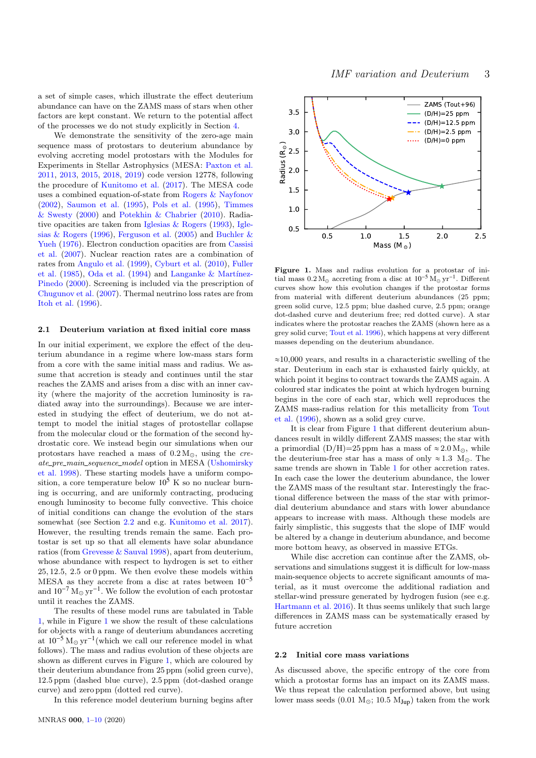a set of simple cases, which illustrate the effect deuterium abundance can have on the ZAMS mass of stars when other factors are kept constant. We return to the potential affect of the processes we do not study explicitly in Section [4.](#page-6-0)

We demonstrate the sensitivity of the zero-age main sequence mass of protostars to deuterium abundance by evolving accreting model protostars with the Modules for Experiments in Stellar Astrophysics (MESA: [Paxton et al.](#page-9-26) [2011,](#page-9-26) [2013,](#page-9-27) [2015,](#page-9-28) [2018,](#page-9-29) [2019\)](#page-9-30) code version 12778, following the procedure of [Kunitomo et al.](#page-8-29) [\(2017\)](#page-8-29). The MESA code uses a combined equation-of-state from [Rogers & Nayfonov](#page-9-31) [\(2002\)](#page-9-31), [Saumon et al.](#page-9-32) [\(1995\)](#page-9-32), [Pols et al.](#page-9-33) [\(1995\)](#page-9-33), [Timmes](#page-9-34) [& Swesty](#page-9-34) [\(2000\)](#page-9-34) and [Potekhin & Chabrier](#page-9-35) [\(2010\)](#page-9-35). Radiative opacities are taken from [Iglesias & Rogers](#page-8-30) [\(1993\)](#page-8-30), [Igle](#page-8-31)[sias & Rogers](#page-8-31) [\(1996\)](#page-8-31), [Ferguson et al.](#page-8-32) [\(2005\)](#page-8-32) and [Buchler &](#page-8-33) [Yueh](#page-8-33) [\(1976\)](#page-8-33). Electron conduction opacities are from [Cassisi](#page-8-34) [et al.](#page-8-34) [\(2007\)](#page-8-34). Nuclear reaction rates are a combination of rates from [Angulo et al.](#page-8-35) [\(1999\)](#page-8-35), [Cyburt et al.](#page-8-36) [\(2010\)](#page-8-36), [Fuller](#page-8-37) [et al.](#page-8-37) [\(1985\)](#page-8-37), [Oda et al.](#page-9-36) [\(1994\)](#page-9-36) and Langanke & Martínez-[Pinedo](#page-8-38) [\(2000\)](#page-8-38). Screening is included via the prescription of [Chugunov et al.](#page-8-39) [\(2007\)](#page-8-39). Thermal neutrino loss rates are from [Itoh et al.](#page-8-40) [\(1996\)](#page-8-40).

#### 2.1 Deuterium variation at fixed initial core mass

In our initial experiment, we explore the effect of the deuterium abundance in a regime where low-mass stars form from a core with the same initial mass and radius. We assume that accretion is steady and continues until the star reaches the ZAMS and arises from a disc with an inner cavity (where the majority of the accretion luminosity is radiated away into the surroundings). Because we are interested in studying the effect of deuterium, we do not attempt to model the initial stages of protostellar collapse from the molecular cloud or the formation of the second hydrostatic core. We instead begin our simulations when our protostars have reached a mass of  $0.2 M_{\odot}$ , using the create pre main sequence model option in MESA [\(Ushomirsky](#page-9-37) [et al.](#page-9-37) [1998\)](#page-9-37). These starting models have a uniform composition, a core temperature below  $10^5$  K so no nuclear burning is occurring, and are uniformly contracting, producing enough luminosity to become fully convective. This choice of initial conditions can change the evolution of the stars somewhat (see Section [2.2](#page-2-0) and e.g. [Kunitomo et al.](#page-8-29) [2017\)](#page-8-29). However, the resulting trends remain the same. Each protostar is set up so that all elements have solar abundance ratios (from [Grevesse & Sauval](#page-8-41) [1998\)](#page-8-41), apart from deuterium, whose abundance with respect to hydrogen is set to either 25, 12.5, 2.5 or 0 ppm. We then evolve these models within MESA as they accrete from a disc at rates between  $10^{-5}$ and  $10^{-7} M_{\odot} \text{ yr}^{-1}$ . We follow the evolution of each protostar until it reaches the ZAMS.

The results of these model runs are tabulated in Table [1,](#page-3-1) while in Figure [1](#page-2-1) we show the result of these calculations for objects with a range of deuterium abundances accreting at  $10^{-5} M_{\odot} yr^{-1}$  (which we call our reference model in what follows). The mass and radius evolution of these objects are shown as different curves in Figure [1,](#page-2-1) which are coloured by their deuterium abundance from 25 ppm (solid green curve), 12.5 ppm (dashed blue curve), 2.5 ppm (dot-dashed orange curve) and zero ppm (dotted red curve).

In this reference model deuterium burning begins after



<span id="page-2-1"></span>Figure 1. Mass and radius evolution for a protostar of initial mass  $0.2 M_{\odot}$  accreting from a disc at  $10^{-5} M_{\odot} \text{ yr}^{-1}$ . Different curves show how this evolution changes if the protostar forms from material with different deuterium abundances (25 ppm; green solid curve, 12.5 ppm; blue dashed curve, 2.5 ppm; orange dot-dashed curve and deuterium free; red dotted curve). A star indicates where the protostar reaches the ZAMS (shown here as a grey solid curve; [Tout et al.](#page-9-38) [1996\)](#page-9-38), which happens at very different masses depending on the deuterium abundance.

 $\approx$ 10,000 years, and results in a characteristic swelling of the star. Deuterium in each star is exhausted fairly quickly, at which point it begins to contract towards the ZAMS again. A coloured star indicates the point at which hydrogen burning begins in the core of each star, which well reproduces the ZAMS mass-radius relation for this metallicity from [Tout](#page-9-38) [et al.](#page-9-38) [\(1996\)](#page-9-38), shown as a solid grey curve.

It is clear from Figure [1](#page-2-1) that different deuterium abundances result in wildly different ZAMS masses; the star with a primordial  $(D/H)=25$  ppm has a mass of  $\approx 2.0$  M<sub>\odot</sub>, while the deuterium-free star has a mass of only  $\approx 1.3$  M<sub>o</sub>. The same trends are shown in Table [1](#page-3-1) for other accretion rates. In each case the lower the deuterium abundance, the lower the ZAMS mass of the resultant star. Interestingly the fractional difference between the mass of the star with primordial deuterium abundance and stars with lower abundance appears to increase with mass. Although these models are fairly simplistic, this suggests that the slope of IMF would be altered by a change in deuterium abundance, and become more bottom heavy, as observed in massive ETGs.

While disc accretion can continue after the ZAMS, observations and simulations suggest it is difficult for low-mass main-sequence objects to accrete significant amounts of material, as it must overcome the additional radiation and stellar-wind pressure generated by hydrogen fusion (see e.g. [Hartmann et al.](#page-8-42) [2016\)](#page-8-42). It thus seems unlikely that such large differences in ZAMS mass can be systematically erased by future accretion

## <span id="page-2-0"></span>2.2 Initial core mass variations

As discussed above, the specific entropy of the core from which a protostar forms has an impact on its ZAMS mass. We thus repeat the calculation performed above, but using lower mass seeds (0.01  $M_{\odot}$ ; 10.5  $M_{Jup}$ ) taken from the work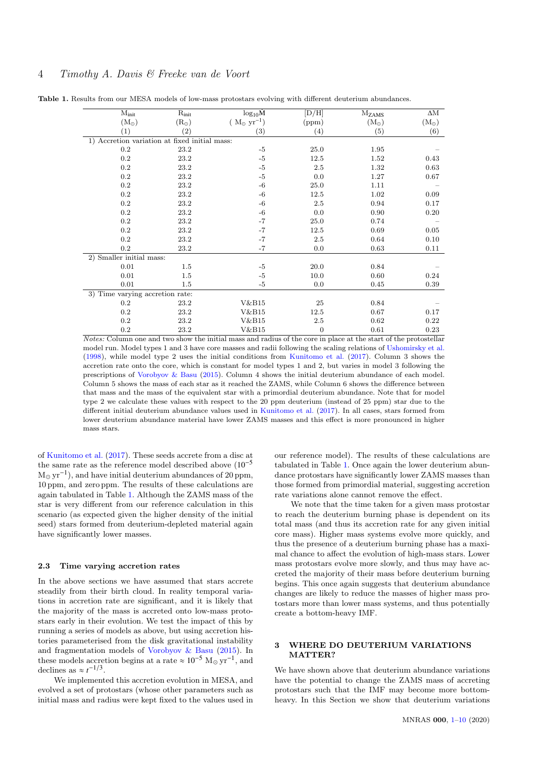# 4 Timothy A. Davis & Freeke van de Voort

| $M_{init}$                                    | $R_{init}$    | $log_{10}M$           | [D/H]            | $M_{ZAMS}$    | $\Delta \mathrm{M}$ |
|-----------------------------------------------|---------------|-----------------------|------------------|---------------|---------------------|
| $(M_{\odot})$                                 | $(R_{\odot})$ | $(M_{\odot} yr^{-1})$ | (ppm)            | $(M_{\odot})$ | $(M_{\odot})$       |
| $\left(1\right)$                              | (2)           | (3)                   | (4)              | (5)           | (6)                 |
| 1) Accretion variation at fixed initial mass: |               |                       |                  |               |                     |
| $0.2\,$                                       | 23.2          | $-5$                  | 25.0             | 1.95          |                     |
| $0.2\,$                                       | 23.2          | $-5\phantom{1}$       | 12.5             | 1.52          | 0.43                |
| $0.2\,$                                       | 23.2          | $-5$                  | 2.5              | 1.32          | 0.63                |
| $0.2\,$                                       | 23.2          | $-5$                  | 0.0              | 1.27          | 0.67                |
| $0.2\,$                                       | 23.2          | $-6$                  | 25.0             | 1.11          |                     |
| $0.2\,$                                       | 23.2          | $-6$                  | 12.5             | 1.02          | 0.09                |
| $0.2\,$                                       | 23.2          | $-6$                  | $2.5\,$          | 0.94          | 0.17                |
| $0.2\,$                                       | 23.2          | $-6$                  | 0.0              | 0.90          | 0.20                |
| 0.2                                           | 23.2          | $-7$                  | 25.0             | 0.74          |                     |
| $0.2\,$                                       | 23.2          | $-7$                  | 12.5             | 0.69          | 0.05                |
| 0.2                                           | 23.2          | $-7$                  | 2.5              | 0.64          | 0.10                |
| $0.2\,$                                       | 23.2          | $-7$                  | 0.0              | 0.63          | 0.11                |
| 2) Smaller initial mass:                      |               |                       |                  |               |                     |
| 0.01                                          | $1.5\,$       | $-5$                  | 20.0             | 0.84          |                     |
| 0.01                                          | $1.5\,$       | $-5$                  | 10.0             | 0.60          | 0.24                |
| 0.01                                          | $1.5\,$       | $-5$                  | 0.0              | 0.45          | 0.39                |
| 3) Time varying accretion rate:               |               |                       |                  |               |                     |
| $0.2\,$                                       | 23.2          | V&B15                 | 25               | 0.84          |                     |
| $0.2\,$                                       | 23.2          | V&B15                 | 12.5             | 0.67          | 0.17                |
| $0.2\,$                                       | 23.2          | V&B15                 | $2.5\,$          | 0.62          | 0.22                |
| $0.2\,$                                       | 23.2          | V&B15                 | $\boldsymbol{0}$ | 0.61          | 0.23                |

<span id="page-3-1"></span>Table 1. Results from our MESA models of low-mass protostars evolving with different deuterium abundances.

Notes: Column one and two show the initial mass and radius of the core in place at the start of the protostellar model run. Model types 1 and 3 have core masses and radii following the scaling relations of [Ushomirsky et al.](#page-9-37) [\(1998\)](#page-9-37), while model type 2 uses the initial conditions from [Kunitomo et al.](#page-8-29) [\(2017\)](#page-8-29). Column 3 shows the accretion rate onto the core, which is constant for model types 1 and 2, but varies in model 3 following the prescriptions of [Vorobyov & Basu](#page-9-39) [\(2015\)](#page-9-39). Column 4 shows the initial deuterium abundance of each model. Column 5 shows the mass of each star as it reached the ZAMS, while Column 6 shows the difference between that mass and the mass of the equivalent star with a primordial deuterium abundance. Note that for model type 2 we calculate these values with respect to the 20 ppm deuterium (instead of 25 ppm) star due to the different initial deuterium abundance values used in [Kunitomo et al.](#page-8-29) [\(2017\)](#page-8-29). In all cases, stars formed from lower deuterium abundance material have lower ZAMS masses and this effect is more pronounced in higher mass stars.

of [Kunitomo et al.](#page-8-29) [\(2017\)](#page-8-29). These seeds accrete from a disc at the same rate as the reference model described above  $(10^{-5})$  $M_{\odot}$  yr<sup>-1</sup>), and have initial deuterium abundances of 20 ppm, 10 ppm, and zero ppm. The results of these calculations are again tabulated in Table [1.](#page-3-1) Although the ZAMS mass of the star is very different from our reference calculation in this scenario (as expected given the higher density of the initial seed) stars formed from deuterium-depleted material again have significantly lower masses.

# 2.3 Time varying accretion rates

In the above sections we have assumed that stars accrete steadily from their birth cloud. In reality temporal variations in accretion rate are significant, and it is likely that the majority of the mass is accreted onto low-mass protostars early in their evolution. We test the impact of this by running a series of models as above, but using accretion histories parameterised from the disk gravitational instability and fragmentation models of [Vorobyov & Basu](#page-9-39) [\(2015\)](#page-9-39). In these models accretion begins at a rate  $\approx 10^{-5}$  M<sub>o</sub> yr<sup>-1</sup>, and declines as  $\approx t^{-1/3}$ .

We implemented this accretion evolution in MESA, and evolved a set of protostars (whose other parameters such as initial mass and radius were kept fixed to the values used in our reference model). The results of these calculations are tabulated in Table [1.](#page-3-1) Once again the lower deuterium abundance protostars have significantly lower ZAMS masses than those formed from primordial material, suggesting accretion rate variations alone cannot remove the effect.

We note that the time taken for a given mass protostar to reach the deuterium burning phase is dependent on its total mass (and thus its accretion rate for any given initial core mass). Higher mass systems evolve more quickly, and thus the presence of a deuterium burning phase has a maximal chance to affect the evolution of high-mass stars. Lower mass protostars evolve more slowly, and thus may have accreted the majority of their mass before deuterium burning begins. This once again suggests that deuterium abundance changes are likely to reduce the masses of higher mass protostars more than lower mass systems, and thus potentially create a bottom-heavy IMF.

# <span id="page-3-0"></span>3 WHERE DO DEUTERIUM VARIATIONS MATTER?

We have shown above that deuterium abundance variations have the potential to change the ZAMS mass of accreting protostars such that the IMF may become more bottomheavy. In this Section we show that deuterium variations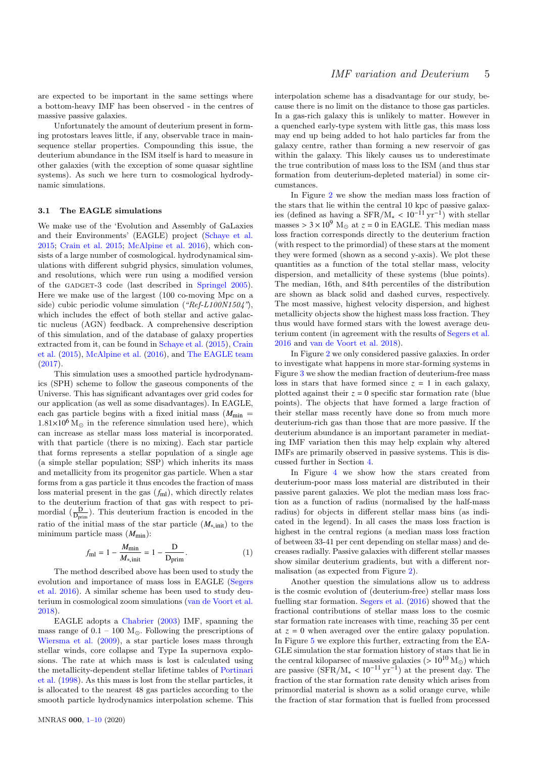are expected to be important in the same settings where a bottom-heavy IMF has been observed - in the centres of massive passive galaxies.

Unfortunately the amount of deuterium present in forming protostars leaves little, if any, observable trace in mainsequence stellar properties. Compounding this issue, the deuterium abundance in the ISM itself is hard to measure in other galaxies (with the exception of some quasar sightline systems). As such we here turn to cosmological hydrodynamic simulations.

#### 3.1 The EAGLE simulations

We make use of the 'Evolution and Assembly of GaLaxies and their Environments' (EAGLE) project [\(Schaye et al.](#page-9-40) [2015;](#page-9-40) [Crain et al.](#page-8-43) [2015;](#page-8-43) [McAlpine et al.](#page-9-41) [2016\)](#page-9-41), which consists of a large number of cosmological. hydrodynamical simulations with different subgrid physics, simulation volumes, and resolutions, which were run using a modified version of the GADGET-3 code (last described in [Springel](#page-9-42) [2005\)](#page-9-42). Here we make use of the largest (100 co-moving Mpc on a side) cubic periodic volume simulation  $(*Ref-L100N1504")$ , which includes the effect of both stellar and active galactic nucleus (AGN) feedback. A comprehensive description of this simulation, and of the database of galaxy properties extracted from it, can be found in [Schaye et al.](#page-9-40) [\(2015\)](#page-9-40), [Crain](#page-8-43) [et al.](#page-8-43) [\(2015\)](#page-8-43), [McAlpine et al.](#page-9-41) [\(2016\)](#page-9-41), and [The EAGLE team](#page-9-43) [\(2017\)](#page-9-43).

This simulation uses a smoothed particle hydrodynamics (SPH) scheme to follow the gaseous components of the Universe. This has significant advantages over grid codes for our application (as well as some disadvantages). In EAGLE, each gas particle begins with a fixed initial mass  $(M_{\text{min}} =$  $1.81\times10^{6}$  M<sub>\odot</sub> in the reference simulation used here), which can increase as stellar mass loss material is incorporated. with that particle (there is no mixing). Each star particle that forms represents a stellar population of a single age (a simple stellar population; SSP) which inherits its mass and metallicity from its progenitor gas particle. When a star forms from a gas particle it thus encodes the fraction of mass loss material present in the gas  $(f<sub>ml</sub>)$ , which directly relates to the deuterium fraction of that gas with respect to primordial  $(\frac{D}{D_{\text{prim}}})$ . This deuterium fraction is encoded in the ratio of the initial mass of the star particle (*M*∗,init) to the minimum particle mass  $(M_{\text{min}})$ :

$$
f_{\rm ml} = 1 - \frac{M_{\rm min}}{M_{*,\rm init}} = 1 - \frac{D}{D_{\rm prim}}.
$$
 (1)

The method described above has been used to study the evolution and importance of mass loss in EAGLE [\(Segers](#page-9-44) [et al.](#page-9-44) [2016\)](#page-9-44). A similar scheme has been used to study deuterium in cosmological zoom simulations [\(van de Voort et al.](#page-9-45) [2018\)](#page-9-45).

EAGLE adopts a [Chabrier](#page-8-1) [\(2003\)](#page-8-1) IMF, spanning the mass range of  $0.1 - 100$  M<sub> $\odot$ </sub>. Following the prescriptions of [Wiersma et al.](#page-9-46) [\(2009\)](#page-9-46), a star particle loses mass through stellar winds, core collapse and Type Ia supernova explosions. The rate at which mass is lost is calculated using the metallicity-dependent stellar lifetime tables of [Portinari](#page-9-47) [et al.](#page-9-47) [\(1998\)](#page-9-47). As this mass is lost from the stellar particles, it is allocated to the nearest 48 gas particles according to the smooth particle hydrodynamics interpolation scheme. This interpolation scheme has a disadvantage for our study, because there is no limit on the distance to those gas particles. In a gas-rich galaxy this is unlikely to matter. However in a quenched early-type system with little gas, this mass loss may end up being added to hot halo particles far from the galaxy centre, rather than forming a new reservoir of gas within the galaxy. This likely causes us to underestimate the true contribution of mass loss to the ISM (and thus star formation from deuterium-depleted material) in some circumstances.

In Figure [2](#page-5-0) we show the median mass loss fraction of the stars that lie within the central 10 kpc of passive galaxies (defined as having a  $SFR/M_* < 10^{-11} yr^{-1}$ ) with stellar masses  $> 3 \times 10^9$  M<sub>o</sub> at  $z = 0$  in EAGLE. This median mass masses  $> 3 \times 10^9$  M<sub>o</sub> at  $z = 0$  in EAGLE. This median mass loss fraction corresponds directly to the deuterium fraction (with respect to the primordial) of these stars at the moment they were formed (shown as a second y-axis). We plot these quantities as a function of the total stellar mass, velocity dispersion, and metallicity of these systems (blue points). The median, 16th, and 84th percentiles of the distribution are shown as black solid and dashed curves, respectively. The most massive, highest velocity dispersion, and highest metallicity objects show the highest mass loss fraction. They thus would have formed stars with the lowest average deuterium content (in agreement with the results of [Segers et al.](#page-9-44) [2016](#page-9-44) and [van de Voort et al.](#page-9-45) [2018\)](#page-9-45).

In Figure [2](#page-5-0) we only considered passive galaxies. In order to investigate what happens in more star-forming systems in Figure [3](#page-5-1) we show the median fraction of deuterium-free mass loss in stars that have formed since  $z = 1$  in each galaxy, plotted against their  $z = 0$  specific star formation rate (blue points). The objects that have formed a large fraction of their stellar mass recently have done so from much more deuterium-rich gas than those that are more passive. If the deuterium abundance is an important parameter in mediating IMF variation then this may help explain why altered IMFs are primarily observed in passive systems. This is discussed further in Section [4.](#page-6-0)

In Figure [4](#page-5-2) we show how the stars created from deuterium-poor mass loss material are distributed in their passive parent galaxies. We plot the median mass loss fraction as a function of radius (normalised by the half-mass radius) for objects in different stellar mass bins (as indicated in the legend). In all cases the mass loss fraction is highest in the central regions (a median mass loss fraction of between 33-41 per cent depending on stellar mass) and decreases radially. Passive galaxies with different stellar masses show similar deuterium gradients, but with a different normalisation (as expected from Figure [2\)](#page-5-0).

Another question the simulations allow us to address is the cosmic evolution of (deuterium-free) stellar mass loss fuelling star formation. [Segers et al.](#page-9-44) [\(2016\)](#page-9-44) showed that the fractional contributions of stellar mass loss to the cosmic star formation rate increases with time, reaching 35 per cent at  $z = 0$  when averaged over the entire galaxy population. In Figure [5](#page-6-1) we explore this further, extracting from the EA-GLE simulation the star formation history of stars that lie in the central kiloparsec of massive galaxies ( $> 10^{10}$  M<sub>\ooops</sub>) which are passive  $(SFR/M_* < 10^{-11} \text{ yr}^{-1})$  at the present day. The fraction of the star formation rate density which arises from fraction of the star formation rate density which arises from primordial material is shown as a solid orange curve, while the fraction of star formation that is fuelled from processed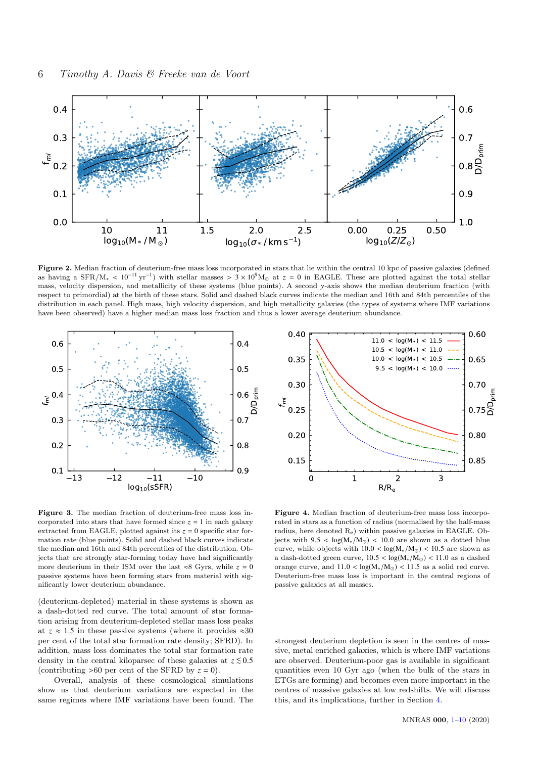

Figure 2. Median fraction of deuterium-free mass loss incorporated in stars that lie within the central 10 kpc of passive galaxies (defined as having a SFR/M<sub>\*</sub> <  $10^{-11}$  yr<sup>-1</sup>) with stellar masses >  $3 \times 10^{9}$ M<sub>o</sub> at  $z = 0$  in EAGLE. These are plotted against the total stellar mass valority dispersion, and motalligity of these systems (blue points). A sec mass, velocity dispersion, and metallicity of these systems (blue points). A second y-axis shows the median deuterium fraction (with respect to primordial) at the birth of these stars. Solid and dashed black curves indicate the median and 16th and 84th percentiles of the distribution in each panel. High mass, high velocity dispersion, and high metallicity galaxies (the types of systems where IMF variations have been observed) have a higher median mass loss fraction and thus a lower average deuterium abundance.



<span id="page-5-1"></span>Figure 3. The median fraction of deuterium-free mass loss incorporated into stars that have formed since  $z = 1$  in each galaxy extracted from EAGLE, plotted against its  $z = 0$  specific star formation rate (blue points). Solid and dashed black curves indicate the median and 16th and 84th percentiles of the distribution. Objects that are strongly star-forming today have had significantly more deuterium in their ISM over the last ≈8 Gyrs, while  $z = 0$ passive systems have been forming stars from material with significantly lower deuterium abundance.

(deuterium-depleted) material in these systems is shown as a dash-dotted red curve. The total amount of star formation arising from deuterium-depleted stellar mass loss peaks at  $z \approx 1.5$  in these passive systems (where it provides  $\approx 30$ per cent of the total star formation rate density; SFRD). In addition, mass loss dominates the total star formation rate density in the central kiloparsec of these galaxies at  $z \leq 0.5$ (contributing  $>60$  per cent of the SFRD by  $z = 0$ ).

Overall, analysis of these cosmological simulations show us that deuterium variations are expected in the same regimes where IMF variations have been found. The

<span id="page-5-0"></span>

<span id="page-5-2"></span>Figure 4. Median fraction of deuterium-free mass loss incorporated in stars as a function of radius (normalised by the half-mass radius, here denoted Re) within passive galaxies in EAGLE. Objects with  $9.5 < log(M_{*}/M_{\odot}) < 10.0$  are shown as a dotted blue curve, while objects with  $10.0 < log(M_{*}/M_{\odot}) < 10.5$  are shown as a dash-dotted green curve,  $10.5 < log(M_{*}/M_{\odot}) < 11.0$  as a dashed orange curve, and  $11.0 < log(M_{*}/M_{\odot}) < 11.5$  as a solid red curve. Deuterium-free mass loss is important in the central regions of passive galaxies at all masses.

strongest deuterium depletion is seen in the centres of massive, metal enriched galaxies, which is where IMF variations are observed. Deuterium-poor gas is available in significant quantities even 10 Gyr ago (when the bulk of the stars in ETGs are forming) and becomes even more important in the centres of massive galaxies at low redshifts. We will discuss this, and its implications, further in Section [4.](#page-6-0)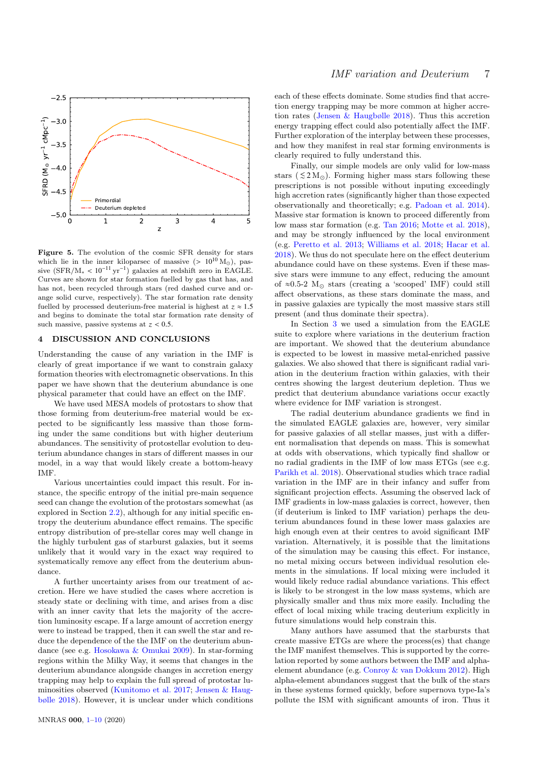

<span id="page-6-1"></span>Figure 5. The evolution of the cosmic SFR density for stars which lie in the inner kiloparsec of massive  $(> 10^{10} M_{\odot})$ , passive  $(SFR/M_* < 10^{-11} \text{ yr}^{-1})$  galaxies at redshift zero in EAGLE.<br>Curves are shown for star formation fuelled by gas that has and Curves are shown for star formation fuelled by gas that has, and has not, been recycled through stars (red dashed curve and orange solid curve, respectively). The star formation rate density fuelled by processed deuterium-free material is highest at  $z \approx 1.5$ and begins to dominate the total star formation rate density of such massive, passive systems at  $z < 0.5$ .

# <span id="page-6-0"></span>4 DISCUSSION AND CONCLUSIONS

Understanding the cause of any variation in the IMF is clearly of great importance if we want to constrain galaxy formation theories with electromagnetic observations. In this paper we have shown that the deuterium abundance is one physical parameter that could have an effect on the IMF.

We have used MESA models of protostars to show that those forming from deuterium-free material would be expected to be significantly less massive than those forming under the same conditions but with higher deuterium abundances. The sensitivity of protostellar evolution to deuterium abundance changes in stars of different masses in our model, in a way that would likely create a bottom-heavy IMF.

Various uncertainties could impact this result. For instance, the specific entropy of the initial pre-main sequence seed can change the evolution of the protostars somewhat (as explored in Section [2.2\)](#page-2-0), although for any initial specific entropy the deuterium abundance effect remains. The specific entropy distribution of pre-stellar cores may well change in the highly turbulent gas of starburst galaxies, but it seems unlikely that it would vary in the exact way required to systematically remove any effect from the deuterium abundance.

A further uncertainty arises from our treatment of accretion. Here we have studied the cases where accretion is steady state or declining with time, and arises from a disc with an inner cavity that lets the majority of the accretion luminosity escape. If a large amount of accretion energy were to instead be trapped, then it can swell the star and reduce the dependence of the the IMF on the deuterium abundance (see e.g. [Hosokawa & Omukai](#page-8-44) [2009\)](#page-8-44). In star-forming regions within the Milky Way, it seems that changes in the deuterium abundance alongside changes in accretion energy trapping may help to explain the full spread of protostar luminosities observed [\(Kunitomo et al.](#page-8-29) [2017;](#page-8-29) [Jensen & Haug](#page-8-45)[bølle](#page-8-45) [2018\)](#page-8-45). However, it is unclear under which conditions

each of these effects dominate. Some studies find that accretion energy trapping may be more common at higher accretion rates [\(Jensen & Haugbølle](#page-8-45) [2018\)](#page-8-45). Thus this accretion energy trapping effect could also potentially affect the IMF. Further exploration of the interplay between these processes, and how they manifest in real star forming environments is clearly required to fully understand this.

Finally, our simple models are only valid for low-mass stars ( $\leq 2 M_{\odot}$ ). Forming higher mass stars following these prescriptions is not possible without inputing exceedingly high accretion rates (significantly higher than those expected observationally and theoretically; e.g. [Padoan et al.](#page-9-48) [2014\)](#page-9-48). Massive star formation is known to proceed differently from low mass star formation (e.g. [Tan](#page-9-49) [2016;](#page-9-49) [Motte et al.](#page-9-50) [2018\)](#page-9-50), and may be strongly influenced by the local environment (e.g. [Peretto et al.](#page-9-51) [2013;](#page-9-51) [Williams et al.](#page-9-52) [2018;](#page-9-52) [Hacar et al.](#page-8-46) [2018\)](#page-8-46). We thus do not speculate here on the effect deuterium abundance could have on these systems. Even if these massive stars were immune to any effect, reducing the amount of ≈0.5-2  $M_{\odot}$  stars (creating a 'scooped' IMF) could still affect observations, as these stars dominate the mass, and in passive galaxies are typically the most massive stars still present (and thus dominate their spectra).

In Section [3](#page-3-0) we used a simulation from the EAGLE suite to explore where variations in the deuterium fraction are important. We showed that the deuterium abundance is expected to be lowest in massive metal-enriched passive galaxies. We also showed that there is significant radial variation in the deuterium fraction within galaxies, with their centres showing the largest deuterium depletion. Thus we predict that deuterium abundance variations occur exactly where evidence for IMF variation is strongest.

The radial deuterium abundance gradients we find in the simulated EAGLE galaxies are, however, very similar for passive galaxies of all stellar masses, just with a different normalisation that depends on mass. This is somewhat at odds with observations, which typically find shallow or no radial gradients in the IMF of low mass ETGs (see e.g. [Parikh et al.](#page-9-11) [2018\)](#page-9-11). Observational studies which trace radial variation in the IMF are in their infancy and suffer from significant projection effects. Assuming the observed lack of IMF gradients in low-mass galaxies is correct, however, then (if deuterium is linked to IMF variation) perhaps the deuterium abundances found in these lower mass galaxies are high enough even at their centres to avoid significant IMF variation. Alternatively, it is possible that the limitations of the simulation may be causing this effect. For instance, no metal mixing occurs between individual resolution elements in the simulations. If local mixing were included it would likely reduce radial abundance variations. This effect is likely to be strongest in the low mass systems, which are physically smaller and thus mix more easily. Including the effect of local mixing while tracing deuterium explicitly in future simulations would help constrain this.

Many authors have assumed that the starbursts that create massive ETGs are where the process(es) that change the IMF manifest themselves. This is supported by the correlation reported by some authors between the IMF and alphaelement abundance (e.g. [Conroy & van Dokkum](#page-8-6) [2012\)](#page-8-6). High alpha-element abundances suggest that the bulk of the stars in these systems formed quickly, before supernova type-Ia's pollute the ISM with significant amounts of iron. Thus it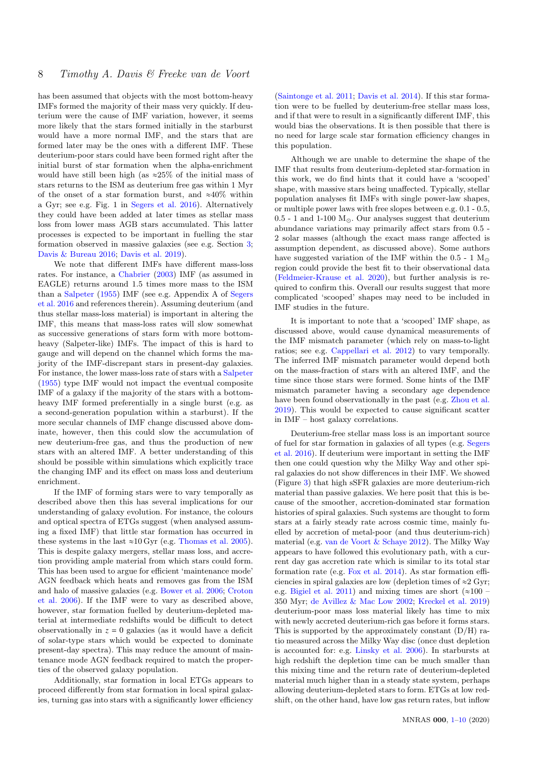has been assumed that objects with the most bottom-heavy IMFs formed the majority of their mass very quickly. If deuterium were the cause of IMF variation, however, it seems more likely that the stars formed initially in the starburst would have a more normal IMF, and the stars that are formed later may be the ones with a different IMF. These deuterium-poor stars could have been formed right after the initial burst of star formation when the alpha-enrichment would have still been high (as ≈25% of the initial mass of stars returns to the ISM as deuterium free gas within 1 Myr of the onset of a star formation burst, and  $\approx 40\%$  within a Gyr; see e.g. Fig. 1 in [Segers et al.](#page-9-44) [2016\)](#page-9-44). Alternatively they could have been added at later times as stellar mass loss from lower mass AGB stars accumulated. This latter processes is expected to be important in fuelling the star formation observed in massive galaxies (see e.g. Section [3;](#page-3-0) [Davis & Bureau](#page-8-47) [2016;](#page-8-47) [Davis et al.](#page-8-48) [2019\)](#page-8-48).

We note that different IMFs have different mass-loss rates. For instance, a [Chabrier](#page-8-1) [\(2003\)](#page-8-1) IMF (as assumed in EAGLE) returns around 1.5 times more mass to the ISM than a [Salpeter](#page-9-53) [\(1955\)](#page-9-53) IMF (see e.g. Appendix A of [Segers](#page-9-44) [et al.](#page-9-44) [2016](#page-9-44) and references therein). Assuming deuterium (and thus stellar mass-loss material) is important in altering the IMF, this means that mass-loss rates will slow somewhat as successive generations of stars form with more bottomheavy (Salpeter-like) IMFs. The impact of this is hard to gauge and will depend on the channel which forms the majority of the IMF-discrepant stars in present-day galaxies. For instance, the lower mass-loss rate of stars with a [Salpeter](#page-9-53) [\(1955\)](#page-9-53) type IMF would not impact the eventual composite IMF of a galaxy if the majority of the stars with a bottomheavy IMF formed preferentially in a single burst (e.g. as a second-generation population within a starburst). If the more secular channels of IMF change discussed above dominate, however, then this could slow the accumulation of new deuterium-free gas, and thus the production of new stars with an altered IMF. A better understanding of this should be possible within simulations which explicitly trace the changing IMF and its effect on mass loss and deuterium enrichment.

If the IMF of forming stars were to vary temporally as described above then this has several implications for our understanding of galaxy evolution. For instance, the colours and optical spectra of ETGs suggest (when analysed assuming a fixed IMF) that little star formation has occurred in these systems in the last  $\approx 10 \text{ Gyr}$  (e.g. [Thomas et al.](#page-9-54) [2005\)](#page-9-54). This is despite galaxy mergers, stellar mass loss, and accretion providing ample material from which stars could form. This has been used to argue for efficient 'maintenance mode' AGN feedback which heats and removes gas from the ISM and halo of massive galaxies (e.g. [Bower et al.](#page-8-49) [2006;](#page-8-49) [Croton](#page-8-50) [et al.](#page-8-50) [2006\)](#page-8-50). If the IMF were to vary as described above, however, star formation fuelled by deuterium-depleted material at intermediate redshifts would be difficult to detect observationally in  $z = 0$  galaxies (as it would have a deficit of solar-type stars which would be expected to dominate present-day spectra). This may reduce the amount of maintenance mode AGN feedback required to match the properties of the observed galaxy population.

Additionally, star formation in local ETGs appears to proceed differently from star formation in local spiral galaxies, turning gas into stars with a significantly lower efficiency

[\(Saintonge et al.](#page-9-55) [2011;](#page-9-55) [Davis et al.](#page-8-51) [2014\)](#page-8-51). If this star formation were to be fuelled by deuterium-free stellar mass loss, and if that were to result in a significantly different IMF, this would bias the observations. It is then possible that there is no need for large scale star formation efficiency changes in this population.

Although we are unable to determine the shape of the IMF that results from deuterium-depleted star-formation in this work, we do find hints that it could have a 'scooped' shape, with massive stars being unaffected. Typically, stellar population analyses fit IMFs with single power-law shapes, or multiple power laws with free slopes between e.g. 0.1 - 0.5, 0.5 - 1 and 1-100  $\mathrm{M}_\odot.$  Our analyses suggest that deuterium abundance variations may primarily affect stars from 0.5 - 2 solar masses (although the exact mass range affected is assumption dependent, as discussed above). Some authors have suggested variation of the IMF within the  $0.5 - 1$  M<sub>o</sub> region could provide the best fit to their observational data [\(Feldmeier-Krause et al.](#page-8-52) [2020\)](#page-8-52), but further analysis is required to confirm this. Overall our results suggest that more complicated 'scooped' shapes may need to be included in IMF studies in the future.

It is important to note that a 'scooped' IMF shape, as discussed above, would cause dynamical measurements of the IMF mismatch parameter (which rely on mass-to-light ratios; see e.g. [Cappellari et al.](#page-8-2) [2012\)](#page-8-2) to vary temporally. The inferred IMF mismatch parameter would depend both on the mass-fraction of stars with an altered IMF, and the time since those stars were formed. Some hints of the IMF mismatch parameter having a secondary age dependence have been found observationally in the past (e.g. [Zhou et al.](#page-9-7) [2019\)](#page-9-7). This would be expected to cause significant scatter in IMF – host galaxy correlations.

Deuterium-free stellar mass loss is an important source of fuel for star formation in galaxies of all types (e.g. [Segers](#page-9-44) [et al.](#page-9-44) [2016\)](#page-9-44). If deuterium were important in setting the IMF then one could question why the Milky Way and other spiral galaxies do not show differences in their IMF. We showed (Figure [3\)](#page-5-1) that high sSFR galaxies are more deuterium-rich material than passive galaxies. We here posit that this is because of the smoother, accretion-dominated star formation histories of spiral galaxies. Such systems are thought to form stars at a fairly steady rate across cosmic time, mainly fuelled by accretion of metal-poor (and thus deuterium-rich) material (e.g. [van de Voort & Schaye](#page-9-56) [2012\)](#page-9-56). The Milky Way appears to have followed this evolutionary path, with a current day gas accretion rate which is similar to its total star formation rate (e.g. [Fox et al.](#page-8-53) [2014\)](#page-8-53). As star formation efficiencies in spiral galaxies are low (depletion times of  $\approx$ 2 Gyr; e.g. [Bigiel et al.](#page-8-54) [2011\)](#page-8-54) and mixing times are short ( $\approx 100$  – 350 Myr; [de Avillez & Mac Low](#page-9-57) [2002;](#page-9-57) [Kreckel et al.](#page-8-55) [2019\)](#page-8-55) deuterium-poor mass loss material likely has time to mix with newly accreted deuterium-rich gas before it forms stars. This is supported by the approximately constant  $(D/H)$  ratio measured across the Milky Way disc (once dust depletion is accounted for: e.g. [Linsky et al.](#page-9-58) [2006\)](#page-9-58). In starbursts at high redshift the depletion time can be much smaller than this mixing time and the return rate of deuterium-depleted material much higher than in a steady state system, perhaps allowing deuterium-depleted stars to form. ETGs at low redshift, on the other hand, have low gas return rates, but inflow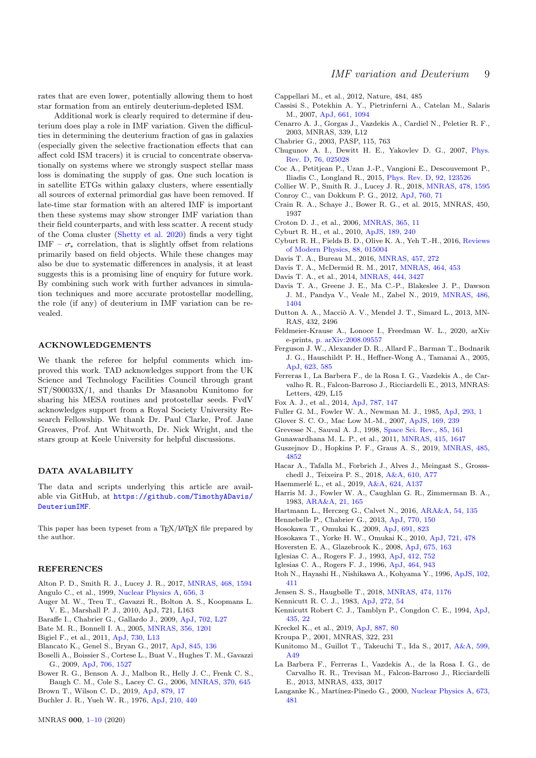rates that are even lower, potentially allowing them to host star formation from an entirely deuterium-depleted ISM.

Additional work is clearly required to determine if deuterium does play a role in IMF variation. Given the difficulties in determining the deuterium fraction of gas in galaxies (especially given the selective fractionation effects that can affect cold ISM tracers) it is crucial to concentrate observationally on systems where we strongly suspect stellar mass loss is dominating the supply of gas. One such location is in satellite ETGs within galaxy clusters, where essentially all sources of external primordial gas have been removed. If late-time star formation with an altered IMF is important then these systems may show stronger IMF variation than their field counterparts, and with less scatter. A recent study of the Coma cluster [\(Shetty et al.](#page-9-59) [2020\)](#page-9-59) finds a very tight IMF –  $\sigma_*$  correlation, that is slightly offset from relations primarily based on field objects. While these changes may also be due to systematic differences in analysis, it at least suggests this is a promising line of enquiry for future work. By combining such work with further advances in simulation techniques and more accurate protostellar modelling, the role (if any) of deuterium in IMF variation can be revealed.

## ACKNOWLEDGEMENTS

We thank the referee for helpful comments which improved this work. TAD acknowledges support from the UK Science and Technology Facilities Council through grant ST/S00033X/1, and thanks Dr Masanobu Kunitomo for sharing his MESA routines and protostellar seeds. FvdV acknowledges support from a Royal Society University Research Fellowship. We thank Dr. Paul Clarke, Prof. Jane Greaves, Prof. Ant Whitworth, Dr. Nick Wright, and the stars group at Keele University for helpful discussions.

#### DATA AVALABILITY

The data and scripts underlying this article are available via GitHub, at [https://github.com/TimothyADavis/](https://github.com/TimothyADavis/DeuteriumIMF) [DeuteriumIMF](https://github.com/TimothyADavis/DeuteriumIMF).

This paper has been typeset from a TEX/LATEX file prepared by the author.

#### **REFERENCES**

- <span id="page-8-35"></span><span id="page-8-10"></span>Alton P. D., Smith R. J., Lucey J. R., 2017, [MNRAS,](http://dx.doi.org/10.1093/mnras/stx464) [468, 1594](https://ui.adsabs.harvard.edu/abs/2017MNRAS.468.1594A) Angulo C., et al., 1999, [Nuclear Physics A,](http://dx.doi.org/10.1016/S0375-9474(99)00030-5) [656, 3](https://ui.adsabs.harvard.edu/abs/1999NuPhA.656....3A)
- <span id="page-8-4"></span>Auger M. W., Treu T., Gavazzi R., Bolton A. S., Koopmans L.
- V. E., Marshall P. J., 2010, ApJ, 721, L163
- <span id="page-8-27"></span>Baraffe I., Chabrier G., Gallardo J., 2009, [ApJ,](http://dx.doi.org/10.1088/0004-637X/702/1/L27) [702, L27](https://ui.adsabs.harvard.edu/abs/2009ApJ...702L..27B)
- <span id="page-8-18"></span>Bate M. R., Bonnell I. A., 2005, [MNRAS,](http://dx.doi.org/10.1111/j.1365-2966.2004.08593.x) [356, 1201](https://ui.adsabs.harvard.edu/abs/2005MNRAS.356.1201B)
- <span id="page-8-54"></span>Bigiel F., et al., 2011, [ApJ,](http://dx.doi.org/10.1088/2041-8205/730/2/L13) [730, L13](https://ui.adsabs.harvard.edu/abs/2011ApJ...730L..13B)
- <span id="page-8-21"></span>Blancato K., Genel S., Bryan G., 2017, [ApJ,](http://dx.doi.org/10.3847/1538-4357/aa7b84) [845, 136](https://ui.adsabs.harvard.edu/abs/2017ApJ...845..136B)
- <span id="page-8-16"></span>Boselli A., Boissier S., Cortese L., Buat V., Hughes T. M., Gavazzi G., 2009, [ApJ,](http://dx.doi.org/10.1088/0004-637X/706/2/1527) [706, 1527](https://ui.adsabs.harvard.edu/abs/2009ApJ...706.1527B)
- <span id="page-8-49"></span>Bower R. G., Benson A. J., Malbon R., Helly J. C., Frenk C. S., Baugh C. M., Cole S., Lacey C. G., 2006, [MNRAS,](http://dx.doi.org/10.1111/j.1365-2966.2006.10519.x) [370, 645](https://ui.adsabs.harvard.edu/abs/2006MNRAS.370..645B)
- <span id="page-8-17"></span>Brown T., Wilson C. D., 2019, [ApJ,](http://dx.doi.org/10.3847/1538-4357/ab2246) [879, 17](https://ui.adsabs.harvard.edu/abs/2019ApJ...879...17B)
- <span id="page-8-33"></span>Buchler J. R., Yueh W. R., 1976, [ApJ,](http://dx.doi.org/10.1086/154847) [210, 440](https://ui.adsabs.harvard.edu/abs/1976ApJ...210..440B)
- <span id="page-8-2"></span>Cappellari M., et al., 2012, Nature, 484, 485
- <span id="page-8-34"></span>Cassisi S., Potekhin A. Y., Pietrinferni A., Catelan M., Salaris M., 2007, [ApJ,](http://dx.doi.org/10.1086/516819) [661, 1094](https://ui.adsabs.harvard.edu/abs/2007ApJ...661.1094C)
- <span id="page-8-5"></span>Cenarro A. J., Gorgas J., Vazdekis A., Cardiel N., Peletier R. F., 2003, MNRAS, 339, L12
- <span id="page-8-1"></span>Chabrier G., 2003, PASP, 115, 763
- <span id="page-8-39"></span>Chugunov A. I., Dewitt H. E., Yakovlev D. G., 2007, [Phys.](http://dx.doi.org/10.1103/PhysRevD.76.025028) [Rev. D,](http://dx.doi.org/10.1103/PhysRevD.76.025028) [76, 025028](https://ui.adsabs.harvard.edu/abs/2007PhRvD..76b5028C)
- <span id="page-8-23"></span>Coc A., Petitjean P., Uzan J.-P., Vangioni E., Descouvemont P., Iliadis C., Longland R., 2015, [Phys. Rev. D,](http://dx.doi.org/10.1103/PhysRevD.92.123526) [92, 123526](https://ui.adsabs.harvard.edu/abs/2015PhRvD..92l3526C)
- <span id="page-8-11"></span>Collier W. P., Smith R. J., Lucey J. R., 2018, [MNRAS,](http://dx.doi.org/10.1093/mnras/sty1188) [478, 1595](https://ui.adsabs.harvard.edu/abs/2018MNRAS.478.1595C)
- <span id="page-8-6"></span>Conroy C., van Dokkum P. G., 2012, [ApJ,](http://dx.doi.org/10.1088/0004-637X/760/1/71) [760, 71](https://ui.adsabs.harvard.edu/abs/2012ApJ...760...71C)
- <span id="page-8-43"></span>Crain R. A., Schaye J., Bower R. G., et al. 2015, MNRAS, 450, 1937
- <span id="page-8-50"></span>Croton D. J., et al., 2006, [MNRAS,](http://dx.doi.org/10.1111/j.1365-2966.2005.09675.x) [365, 11](https://ui.adsabs.harvard.edu/abs/2006MNRAS.365...11C)
- <span id="page-8-36"></span>Cyburt R. H., et al., 2010, [ApJS,](http://dx.doi.org/10.1088/0067-0049/189/1/240) [189, 240](https://ui.adsabs.harvard.edu/abs/2010ApJS..189..240C)
- <span id="page-8-24"></span>Cyburt R. H., Fields B. D., Olive K. A., Yeh T.-H., 2016, [Reviews](http://dx.doi.org/10.1103/RevModPhys.88.015004) [of Modern Physics,](http://dx.doi.org/10.1103/RevModPhys.88.015004) [88, 015004](https://ui.adsabs.harvard.edu/abs/2016RvMP...88a5004C)
- <span id="page-8-47"></span>Davis T. A., Bureau M., 2016, [MNRAS,](http://dx.doi.org/10.1093/mnras/stv2998) [457, 272](https://ui.adsabs.harvard.edu/abs/2016MNRAS.457..272D)
- <span id="page-8-9"></span>Davis T. A., McDermid R. M., 2017, [MNRAS,](http://dx.doi.org/10.1093/mnras/stw2366) [464, 453](https://ui.adsabs.harvard.edu/abs/2017MNRAS.464..453D)
- <span id="page-8-51"></span>Davis T. A., et al., 2014, [MNRAS,](http://dx.doi.org/10.1093/mnras/stu570) [444, 3427](http://adsabs.harvard.edu/abs/2014MNRAS.444.3427D)
- <span id="page-8-48"></span>Davis T. A., Greene J. E., Ma C.-P., Blakeslee J. P., Dawson J. M., Pandya V., Veale M., Zabel N., 2019, [MNRAS,](http://dx.doi.org/10.1093/mnras/stz871) [486,](https://ui.adsabs.harvard.edu/abs/2019MNRAS.486.1404D) [1404](https://ui.adsabs.harvard.edu/abs/2019MNRAS.486.1404D)
- <span id="page-8-3"></span>Dutton A. A., Macciò A. V., Mendel J. T., Simard L., 2013, MN-RAS, 432, 2496
- <span id="page-8-52"></span>Feldmeier-Krause A., Lonoce I., Freedman W. L., 2020, arXiv e-prints, [p. arXiv:2008.09557](https://ui.adsabs.harvard.edu/abs/2020arXiv200809557F)
- <span id="page-8-32"></span>Ferguson J. W., Alexander D. R., Allard F., Barman T., Bodnarik J. G., Hauschildt P. H., Heffner-Wong A., Tamanai A., 2005, [ApJ,](http://dx.doi.org/10.1086/428642) [623, 585](https://ui.adsabs.harvard.edu/abs/2005ApJ...623..585F)
- <span id="page-8-7"></span>Ferreras I., La Barbera F., de la Rosa I. G., Vazdekis A., de Carvalho R. R., Falcon-Barroso J., Ricciardelli E., 2013, MNRAS: Letters, 429, L15
- <span id="page-8-53"></span>Fox A. J., et al., 2014, [ApJ,](http://dx.doi.org/10.1088/0004-637X/787/2/147) [787, 147](https://ui.adsabs.harvard.edu/abs/2014ApJ...787..147F)
- <span id="page-8-37"></span>Fuller G. M., Fowler W. A., Newman M. J., 1985, [ApJ,](http://dx.doi.org/10.1086/163208) [293, 1](https://ui.adsabs.harvard.edu/abs/1985ApJ...293....1F)
- <span id="page-8-19"></span>Glover S. C. O., Mac Low M.-M., 2007, [ApJS,](http://dx.doi.org/10.1086/512238) [169, 239](https://ui.adsabs.harvard.edu/abs/2007ApJS..169..239G)
- <span id="page-8-41"></span>Grevesse N., Sauval A. J., 1998, [Space Sci. Rev.,](http://dx.doi.org/10.1023/A:1005161325181) [85, 161](https://ui.adsabs.harvard.edu/abs/1998SSRv...85..161G)
- <span id="page-8-15"></span>Gunawardhana M. L. P., et al., 2011, [MNRAS,](http://dx.doi.org/10.1111/j.1365-2966.2011.18800.x) [415, 1647](https://ui.adsabs.harvard.edu/abs/2011MNRAS.415.1647G)
- <span id="page-8-22"></span>Guszejnov D., Hopkins P. F., Graus A. S., 2019, [MNRAS,](http://dx.doi.org/10.1093/mnras/stz736) [485,](https://ui.adsabs.harvard.edu/abs/2019MNRAS.485.4852G) [4852](https://ui.adsabs.harvard.edu/abs/2019MNRAS.485.4852G)
- <span id="page-8-46"></span>Hacar A., Tafalla M., Forbrich J., Alves J., Meingast S., Grossschedl J., Teixeira P. S., 2018, [A&A,](http://dx.doi.org/10.1051/0004-6361/201731894) [610, A77](https://ui.adsabs.harvard.edu/abs/2018A&A...610A..77H)
- <span id="page-8-26"></span>Haemmerlé L., et al., 2019, [A&A,](http://dx.doi.org/10.1051/0004-6361/201935051) [624, A137](https://ui.adsabs.harvard.edu/abs/2019A&A...624A.137H)
- <span id="page-8-25"></span>Harris M. J., Fowler W. A., Caughlan G. R., Zimmerman B. A., 1983, [ARA&A,](http://dx.doi.org/10.1146/annurev.aa.21.090183.001121) [21, 165](https://ui.adsabs.harvard.edu/abs/1983ARA&A..21..165H)
- <span id="page-8-42"></span>Hartmann L., Herczeg G., Calvet N., 2016, [ARA&A,](http://dx.doi.org/10.1146/annurev-astro-081915-023347) [54, 135](https://ui.adsabs.harvard.edu/abs/2016ARA&A..54..135H)
- <span id="page-8-20"></span>Hennebelle P., Chabrier G., 2013, [ApJ,](http://dx.doi.org/10.1088/0004-637X/770/2/150) [770, 150](https://ui.adsabs.harvard.edu/abs/2013ApJ...770..150H)
- <span id="page-8-44"></span>Hosokawa T., Omukai K., 2009, [ApJ,](http://dx.doi.org/10.1088/0004-637X/691/1/823) [691, 823](https://ui.adsabs.harvard.edu/abs/2009ApJ...691..823H)
- <span id="page-8-28"></span>Hosokawa T., Yorke H. W., Omukai K., 2010, [ApJ,](http://dx.doi.org/10.1088/0004-637X/721/1/478) [721, 478](https://ui.adsabs.harvard.edu/abs/2010ApJ...721..478H)
- <span id="page-8-14"></span>Hoversten E. A., Glazebrook K., 2008, [ApJ,](http://dx.doi.org/10.1086/524095) [675, 163](https://ui.adsabs.harvard.edu/abs/2008ApJ...675..163H)
- <span id="page-8-30"></span>Iglesias C. A., Rogers F. J., 1993, [ApJ,](http://dx.doi.org/10.1086/172958) [412, 752](https://ui.adsabs.harvard.edu/abs/1993ApJ...412..752I)
- <span id="page-8-31"></span>Iglesias C. A., Rogers F. J., 1996, [ApJ,](http://dx.doi.org/10.1086/177381) [464, 943](https://ui.adsabs.harvard.edu/abs/1996ApJ...464..943I)
- <span id="page-8-40"></span>Itoh N., Hayashi H., Nishikawa A., Kohyama Y., 1996, [ApJS,](http://dx.doi.org/10.1086/192264) [102,](https://ui.adsabs.harvard.edu/abs/1996ApJS..102..411I) [411](https://ui.adsabs.harvard.edu/abs/1996ApJS..102..411I)
- <span id="page-8-45"></span>Jensen S. S., Haugbølle T., 2018, [MNRAS,](http://dx.doi.org/10.1093/mnras/stx2844) [474, 1176](https://ui.adsabs.harvard.edu/abs/2018MNRAS.474.1176J)
- <span id="page-8-12"></span>Kennicutt R. C. J., 1983, [ApJ,](http://dx.doi.org/10.1086/161261) [272, 54](https://ui.adsabs.harvard.edu/abs/1983ApJ...272...54K)
- <span id="page-8-13"></span>Kennicutt Robert C. J., Tamblyn P., Congdon C. E., 1994, [ApJ,](http://dx.doi.org/10.1086/174790) [435, 22](https://ui.adsabs.harvard.edu/abs/1994ApJ...435...22K)
- <span id="page-8-55"></span>Kreckel K., et al., 2019, [ApJ,](http://dx.doi.org/10.3847/1538-4357/ab5115) [887, 80](https://ui.adsabs.harvard.edu/abs/2019ApJ...887...80K)
- <span id="page-8-0"></span>Kroupa P., 2001, MNRAS, 322, 231
- <span id="page-8-29"></span>Kunitomo M., Guillot T., Takeuchi T., Ida S., 2017, [A&A,](http://dx.doi.org/10.1051/0004-6361/201628260) [599,](https://ui.adsabs.harvard.edu/abs/2017A&A...599A..49K) [A49](https://ui.adsabs.harvard.edu/abs/2017A&A...599A..49K)
- <span id="page-8-8"></span>La Barbera F., Ferreras I., Vazdekis A., de la Rosa I. G., de Carvalho R. R., Trevisan M., Falcon-Barroso J., Ricciardelli E., 2013, MNRAS, 433, 3017
- <span id="page-8-38"></span>Langanke K., Martínez-Pinedo G., 2000, [Nuclear Physics A,](http://dx.doi.org/10.1016/S0375-9474(00)00131-7) [673,](https://ui.adsabs.harvard.edu/abs/2000NuPhA.673..481L) [481](https://ui.adsabs.harvard.edu/abs/2000NuPhA.673..481L)